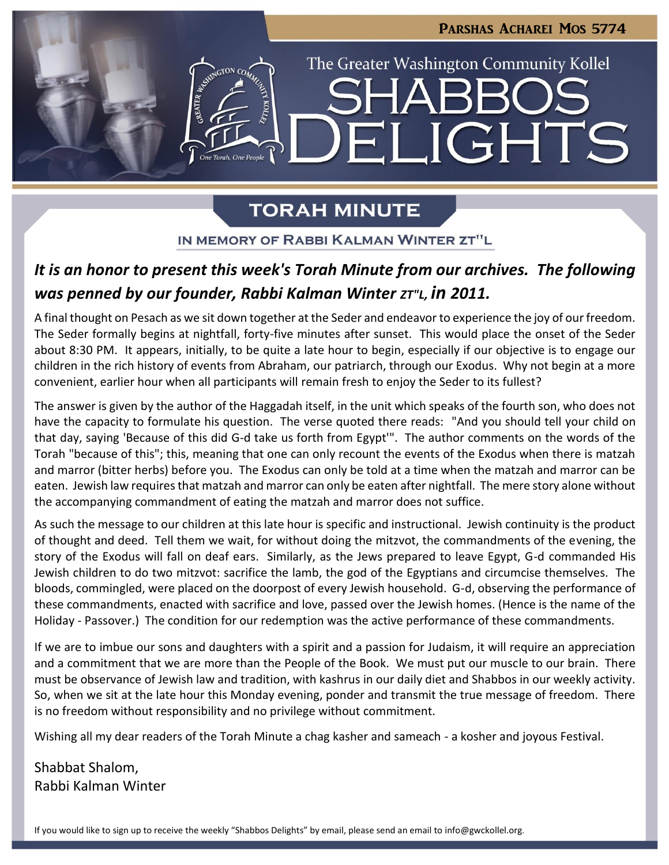

# **TORAH MINUTE**

IN MEMORY OF RABBI KALMAN WINTER ZT"L

# *It is an honor to present this week's Torah Minute from our archives. The following was penned by our founder, Rabbi Kalman Winter ZT"L, in 2011.*

A final thought on Pesach as we sit down together at the Seder and endeavor to experience the joy of our freedom. The Seder formally begins at nightfall, forty-five minutes after sunset. This would place the onset of the Seder about 8:30 PM. It appears, initially, to be quite a late hour to begin, especially if our objective is to engage our children in the rich history of events from Abraham, our patriarch, through our Exodus. Why not begin at a more convenient, earlier hour when all participants will remain fresh to enjoy the Seder to its fullest?

The answer is given by the author of the Haggadah itself, in the unit which speaks of the fourth son, who does not have the capacity to formulate his question. The verse quoted there reads: "And you should tell your child on that day, saying 'Because of this did G-d take us forth from Egypt'". The author comments on the words of the Torah "because of this"; this, meaning that one can only recount the events of the Exodus when there is matzah and marror (bitter herbs) before you. The Exodus can only be told at a time when the matzah and marror can be eaten. Jewish law requires that matzah and marror can only be eaten after nightfall. The mere story alone without the accompanying commandment of eating the matzah and marror does not suffice.

As such the message to our children at this late hour is specific and instructional. Jewish continuity is the product of thought and deed. Tell them we wait, for without doing the mitzvot, the commandments of the evening, the story of the Exodus will fall on deaf ears. Similarly, as the Jews prepared to leave Egypt, G-d commanded His Jewish children to do two mitzvot: sacrifice the lamb, the god of the Egyptians and circumcise themselves. The bloods, commingled, were placed on the doorpost of every Jewish household. G-d, observing the performance of these commandments, enacted with sacrifice and love, passed over the Jewish homes. (Hence is the name of the Holiday - Passover.) The condition for our redemption was the active performance of these commandments.

If we are to imbue our sons and daughters with a spirit and a passion for Judaism, it will require an appreciation and a commitment that we are more than the People of the Book. We must put our muscle to our brain. There must be observance of Jewish law and tradition, with kashrus in our daily diet and Shabbos in our weekly activity. So, when we sit at the late hour this Monday evening, ponder and transmit the true message of freedom. There is no freedom without responsibility and no privilege without commitment.

Wishing all my dear readers of the Torah Minute a chag kasher and sameach - a kosher and joyous Festival.

Shabbat Shalom, Rabbi Kalman Winter

If you would like to sign up to receive the weekly "Shabbos Delights" by email, please send an email to [info@gwckollel.org](mailto:info@gwckollel.org).